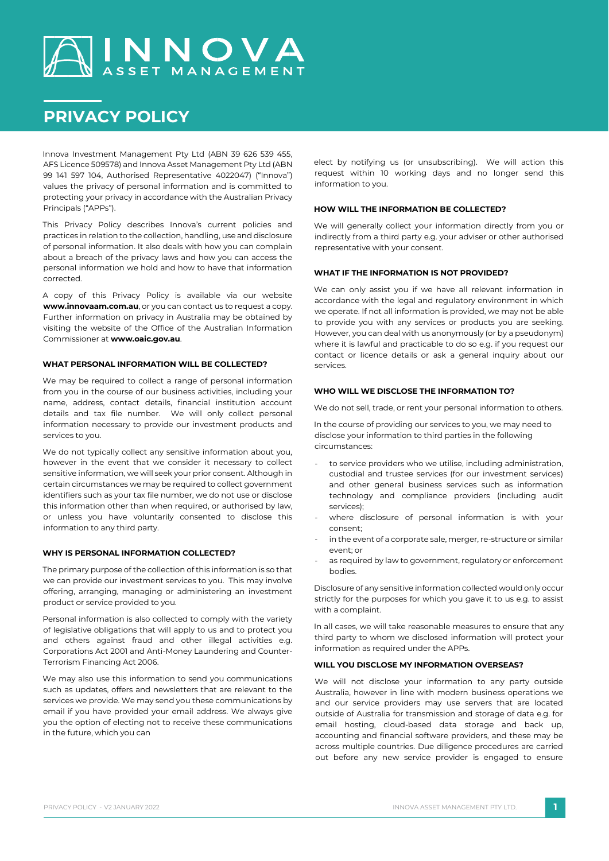# AINNOVA

# **PRIVACY POLICY**

Innova Investment Management Pty Ltd (ABN 39 626 539 455, AFS Licence 509578) and Innova Asset Management Pty Ltd (ABN 99 141 597 104, Authorised Representative 4022047) ("Innova") values the privacy of personal information and is committed to protecting your privacy in accordance with the Australian Privacy Principals ("APPs").

This Privacy Policy describes Innova's current policies and practices in relation to the collection, handling, use and disclosure of personal information. It also deals with how you can complain about a breach of the privacy laws and how you can access the personal information we hold and how to have that information corrected.

A copy of this Privacy Policy is available via our website **www.innovaam.com.au**, or you can contact us to request a copy. Further information on privacy in Australia may be obtained by visiting the website of the Office of the Australian Information Commissioner at **www.oaic.gov.au**.

# **WHAT PERSONAL INFORMATION WILL BE COLLECTED?**

We may be required to collect a range of personal information from you in the course of our business activities, including your name, address, contact details, financial institution account details and tax file number. We will only collect personal information necessary to provide our investment products and services to you.

We do not typically collect any sensitive information about you, however in the event that we consider it necessary to collect sensitive information, we will seek your prior consent. Although in certain circumstances we may be required to collect government identifiers such as your tax file number, we do not use or disclose this information other than when required, or authorised by law, or unless you have voluntarily consented to disclose this information to any third party.

#### **WHY IS PERSONAL INFORMATION COLLECTED?**

The primary purpose of the collection of this information is so that we can provide our investment services to you. This may involve offering, arranging, managing or administering an investment product or service provided to you.

Personal information is also collected to comply with the variety of legislative obligations that will apply to us and to protect you and others against fraud and other illegal activities e.g. Corporations Act 2001 and Anti-Money Laundering and Counter-Terrorism Financing Act 2006.

We may also use this information to send you communications such as updates, offers and newsletters that are relevant to the services we provide. We may send you these communications by email if you have provided your email address. We always give you the option of electing not to receive these communications in the future, which you can

elect by notifying us (or unsubscribing). We will action this request within 10 working days and no longer send this information to you.

## **HOW WILL THE INFORMATION BE COLLECTED?**

We will generally collect your information directly from you or indirectly from a third party e.g. your adviser or other authorised representative with your consent.

#### **WHAT IF THE INFORMATION IS NOT PROVIDED?**

We can only assist you if we have all relevant information in accordance with the legal and regulatory environment in which we operate. If not all information is provided, we may not be able to provide you with any services or products you are seeking. However, you can deal with us anonymously (or by a pseudonym) where it is lawful and practicable to do so e.g. if you request our contact or licence details or ask a general inquiry about our services.

# **WHO WILL WE DISCLOSE THE INFORMATION TO?**

We do not sell, trade, or rent your personal information to others.

In the course of providing our services to you, we may need to disclose your information to third parties in the following circumstances:

- to service providers who we utilise, including administration, custodial and trustee services (for our investment services) and other general business services such as information technology and compliance providers (including audit services);
- where disclosure of personal information is with your consent;
- in the event of a corporate sale, merger, re-structure or similar event; or
- as required by law to government, regulatory or enforcement bodies.

Disclosure of any sensitive information collected would only occur strictly for the purposes for which you gave it to us e.g. to assist with a complaint.

In all cases, we will take reasonable measures to ensure that any third party to whom we disclosed information will protect your information as required under the APPs.

# **WILL YOU DISCLOSE MY INFORMATION OVERSEAS?**

We will not disclose your information to any party outside Australia, however in line with modern business operations we and our service providers may use servers that are located outside of Australia for transmission and storage of data e.g. for email hosting, cloud-based data storage and back up, accounting and financial software providers, and these may be across multiple countries. Due diligence procedures are carried out before any new service provider is engaged to ensure